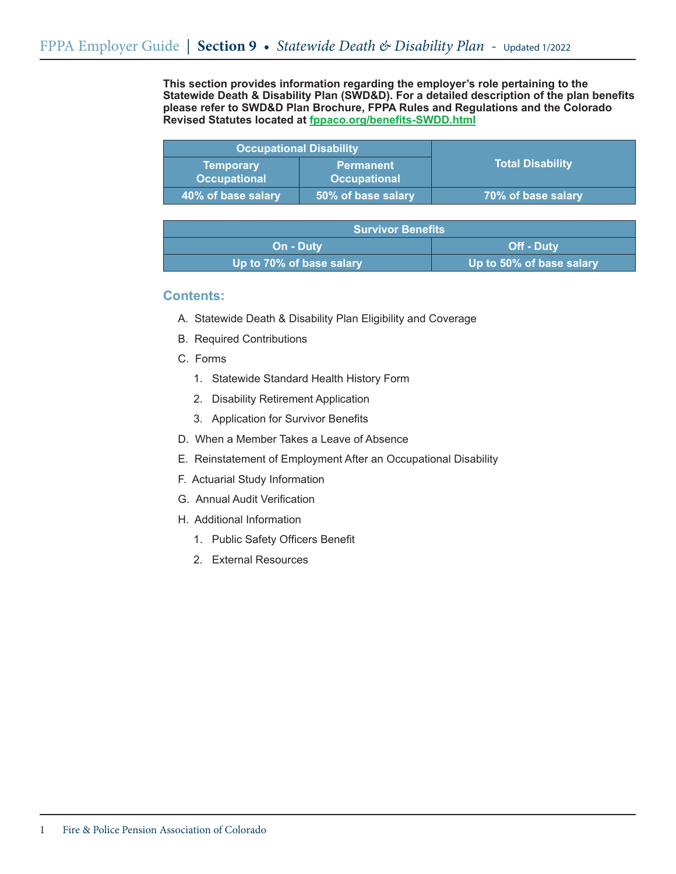**This section provides information regarding the employer's role pertaining to the Statewide Death & Disability Plan (SWD&D). For a detailed description of the plan benefits please refer to SWD&D Plan Brochure, FPPA Rules and Regulations and the Colorado Revised Statutes located at fppaco.org/benefits-SWDD.html**

| <b>Occupational Disability</b>          |                                         |                         |
|-----------------------------------------|-----------------------------------------|-------------------------|
| <b>Temporary</b><br><b>Occupational</b> | <b>Permanent</b><br><b>Occupational</b> | <b>Total Disability</b> |
| 40% of base salary                      | 50% of base salary                      | 70% of base salary      |

| <b>Survivor Benefits</b> |                          |  |
|--------------------------|--------------------------|--|
| <b>On - Duty</b>         | <b>Off - Duty</b>        |  |
| Up to 70% of base salary | Up to 50% of base salary |  |

## **Contents:**

- A. Statewide Death & Disability Plan Eligibility and Coverage
- B. Required Contributions
- C. Forms
	- 1. Statewide Standard Health History Form
	- 2. Disability Retirement Application
	- 3. Application for Survivor Benefits
- D. When a Member Takes a Leave of Absence
- E. Reinstatement of Employment After an Occupational Disability
- F. Actuarial Study Information
- G. Annual Audit Verification
- H. Additional Information
	- 1. Public Safety Officers Benefit
	- 2. External Resources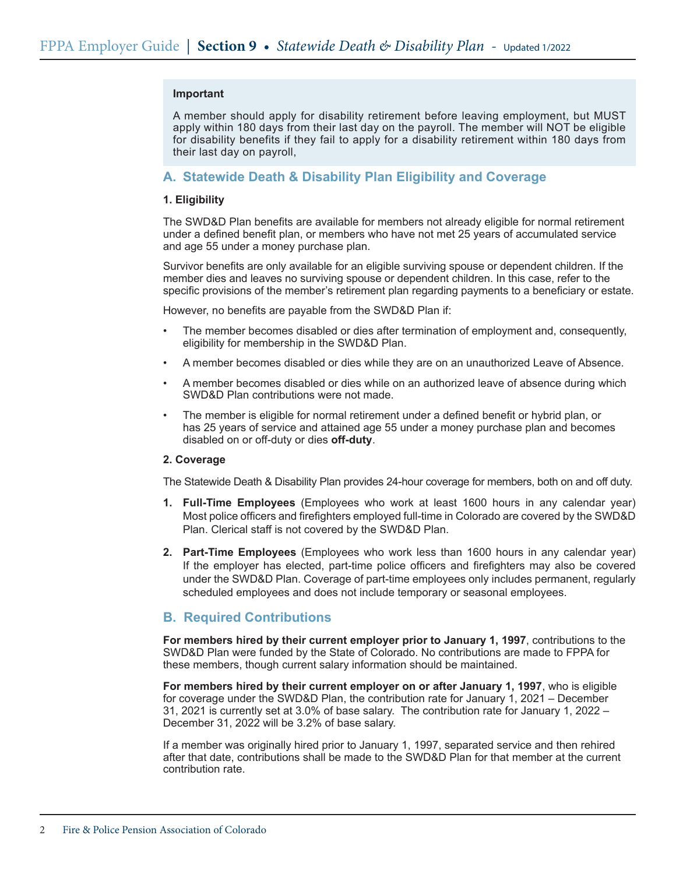### **Important**

A member should apply for disability retirement before leaving employment, but MUST apply within 180 days from their last day on the payroll. The member will NOT be eligible for disability benefits if they fail to apply for a disability retirement within 180 days from their last day on payroll,

## **A. Statewide Death & Disability Plan Eligibility and Coverage**

### **1. Eligibility**

The SWD&D Plan benefits are available for members not already eligible for normal retirement under a defined benefit plan, or members who have not met 25 years of accumulated service and age 55 under a money purchase plan.

Survivor benefits are only available for an eligible surviving spouse or dependent children. If the member dies and leaves no surviving spouse or dependent children. In this case, refer to the specific provisions of the member's retirement plan regarding payments to a beneficiary or estate.

However, no benefits are payable from the SWD&D Plan if:

- The member becomes disabled or dies after termination of employment and, consequently, eligibility for membership in the SWD&D Plan.
- A member becomes disabled or dies while they are on an unauthorized Leave of Absence.
- A member becomes disabled or dies while on an authorized leave of absence during which SWD&D Plan contributions were not made.
- The member is eligible for normal retirement under a defined benefit or hybrid plan, or has 25 years of service and attained age 55 under a money purchase plan and becomes disabled on or off-duty or dies **off-duty**.

#### **2. Coverage**

The Statewide Death & Disability Plan provides 24-hour coverage for members, both on and off duty.

- **1. Full-Time Employees** (Employees who work at least 1600 hours in any calendar year) Most police officers and firefighters employed full-time in Colorado are covered by the SWD&D Plan. Clerical staff is not covered by the SWD&D Plan.
- **2. Part-Time Employees** (Employees who work less than 1600 hours in any calendar year) If the employer has elected, part-time police officers and firefighters may also be covered under the SWD&D Plan. Coverage of part-time employees only includes permanent, regularly scheduled employees and does not include temporary or seasonal employees.

# **B. Required Contributions**

**For members hired by their current employer prior to January 1, 1997**, contributions to the SWD&D Plan were funded by the State of Colorado. No contributions are made to FPPA for these members, though current salary information should be maintained.

**For members hired by their current employer on or after January 1, 1997**, who is eligible for coverage under the SWD&D Plan, the contribution rate for January 1, 2021 – December 31, 2021 is currently set at 3.0% of base salary. The contribution rate for January 1, 2022 – December 31, 2022 will be 3.2% of base salary.

If a member was originally hired prior to January 1, 1997, separated service and then rehired after that date, contributions shall be made to the SWD&D Plan for that member at the current contribution rate.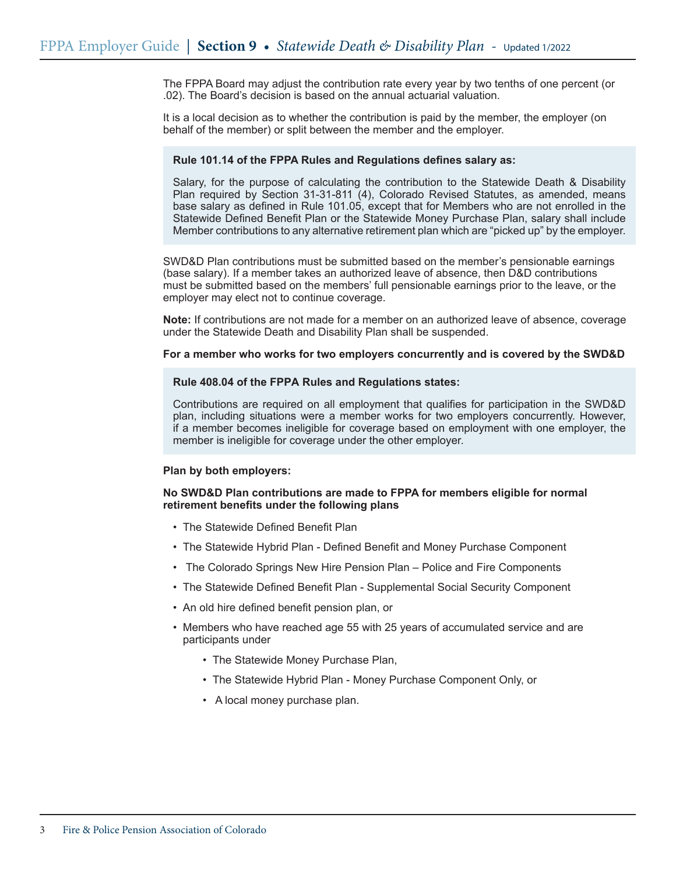The FPPA Board may adjust the contribution rate every year by two tenths of one percent (or .02). The Board's decision is based on the annual actuarial valuation.

It is a local decision as to whether the contribution is paid by the member, the employer (on behalf of the member) or split between the member and the employer.

#### **Rule 101.14 of the FPPA Rules and Regulations defines salary as:**

Salary, for the purpose of calculating the contribution to the Statewide Death & Disability Plan required by Section 31-31-811 (4), Colorado Revised Statutes, as amended, means base salary as defined in Rule 101.05, except that for Members who are not enrolled in the Statewide Defined Benefit Plan or the Statewide Money Purchase Plan, salary shall include Member contributions to any alternative retirement plan which are "picked up" by the employer.

SWD&D Plan contributions must be submitted based on the member's pensionable earnings (base salary). If a member takes an authorized leave of absence, then D&D contributions must be submitted based on the members' full pensionable earnings prior to the leave, or the employer may elect not to continue coverage.

**Note:** If contributions are not made for a member on an authorized leave of absence, coverage under the Statewide Death and Disability Plan shall be suspended.

#### **For a member who works for two employers concurrently and is covered by the SWD&D**

### **Rule 408.04 of the FPPA Rules and Regulations states:**

Contributions are required on all employment that qualifies for participation in the SWD&D plan, including situations were a member works for two employers concurrently. However, if a member becomes ineligible for coverage based on employment with one employer, the member is ineligible for coverage under the other employer.

#### **Plan by both employers:**

### **No SWD&D Plan contributions are made to FPPA for members eligible for normal retirement benefits under the following plans**

- The Statewide Defined Benefit Plan
- The Statewide Hybrid Plan Defined Benefit and Money Purchase Component
- The Colorado Springs New Hire Pension Plan Police and Fire Components
- The Statewide Defined Benefit Plan Supplemental Social Security Component
- An old hire defined benefit pension plan, or
- Members who have reached age 55 with 25 years of accumulated service and are participants under
	- The Statewide Money Purchase Plan,
	- The Statewide Hybrid Plan Money Purchase Component Only, or
	- A local money purchase plan.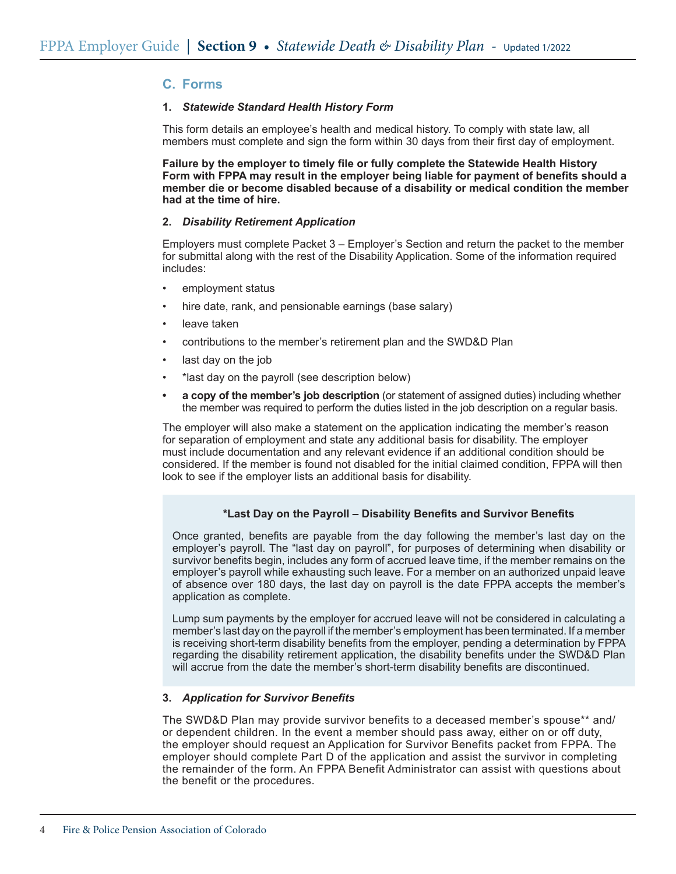## **C. Forms**

### **1.** *Statewide Standard Health History Form*

This form details an employee's health and medical history. To comply with state law, all members must complete and sign the form within 30 days from their first day of employment.

**Failure by the employer to timely file or fully complete the Statewide Health History Form with FPPA may result in the employer being liable for payment of benefits should a member die or become disabled because of a disability or medical condition the member had at the time of hire.**

### **2.** *Disability Retirement Application*

Employers must complete Packet 3 – Employer's Section and return the packet to the member for submittal along with the rest of the Disability Application. Some of the information required includes:

- employment status
- hire date, rank, and pensionable earnings (base salary)
- leave taken
- contributions to the member's retirement plan and the SWD&D Plan
- last day on the job
- \*last day on the payroll (see description below)
- **• a copy of the member's job description** (or statement of assigned duties) including whether the member was required to perform the duties listed in the job description on a regular basis.

The employer will also make a statement on the application indicating the member's reason for separation of employment and state any additional basis for disability. The employer must include documentation and any relevant evidence if an additional condition should be considered. If the member is found not disabled for the initial claimed condition, FPPA will then look to see if the employer lists an additional basis for disability.

## **\*Last Day on the Payroll – Disability Benefits and Survivor Benefits**

Once granted, benefits are payable from the day following the member's last day on the employer's payroll. The "last day on payroll", for purposes of determining when disability or survivor benefits begin, includes any form of accrued leave time, if the member remains on the employer's payroll while exhausting such leave. For a member on an authorized unpaid leave of absence over 180 days, the last day on payroll is the date FPPA accepts the member's application as complete.

Lump sum payments by the employer for accrued leave will not be considered in calculating a member's last day on the payroll if the member's employment has been terminated. If a member is receiving short-term disability benefits from the employer, pending a determination by FPPA regarding the disability retirement application, the disability benefits under the SWD&D Plan will accrue from the date the member's short-term disability benefits are discontinued.

## **3.**  *Application for Survivor Benefits*

The SWD&D Plan may provide survivor benefits to a deceased member's spouse\*\* and/ or dependent children. In the event a member should pass away, either on or off duty, the employer should request an Application for Survivor Benefits packet from FPPA. The employer should complete Part D of the application and assist the survivor in completing the remainder of the form. An FPPA Benefit Administrator can assist with questions about the benefit or the procedures.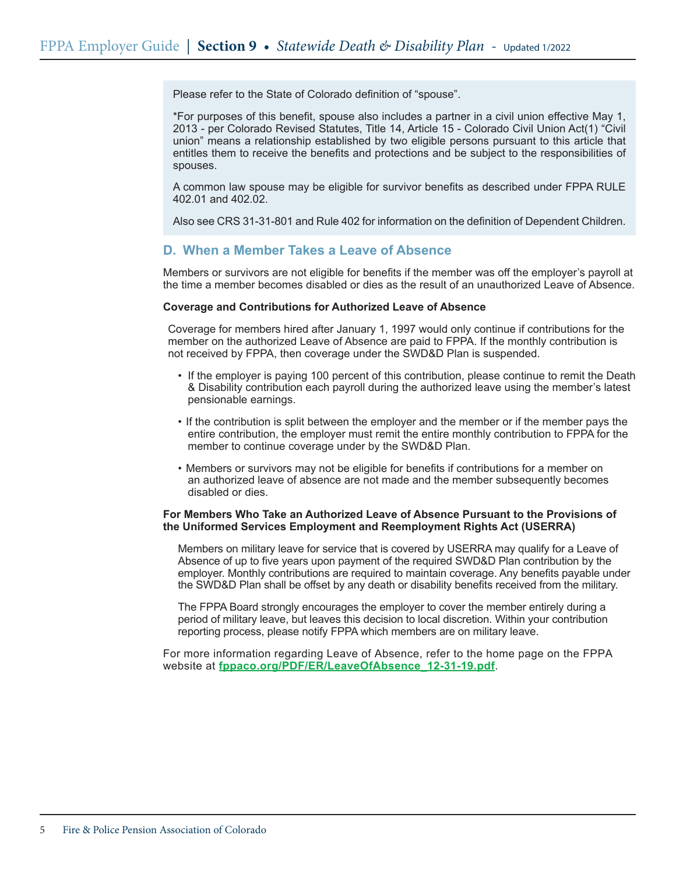Please refer to the State of Colorado definition of "spouse".

\*For purposes of this benefit, spouse also includes a partner in a civil union effective May 1, 2013 - per Colorado Revised Statutes, Title 14, Article 15 - Colorado Civil Union Act(1) "Civil union" means a relationship established by two eligible persons pursuant to this article that entitles them to receive the benefits and protections and be subject to the responsibilities of spouses.

A common law spouse may be eligible for survivor benefits as described under FPPA RULE 402.01 and 402.02.

Also see CRS 31-31-801 and Rule 402 for information on the definition of Dependent Children.

## **D. When a Member Takes a Leave of Absence**

Members or survivors are not eligible for benefits if the member was off the employer's payroll at the time a member becomes disabled or dies as the result of an unauthorized Leave of Absence.

#### **Coverage and Contributions for Authorized Leave of Absence**

Coverage for members hired after January 1, 1997 would only continue if contributions for the member on the authorized Leave of Absence are paid to FPPA. If the monthly contribution is not received by FPPA, then coverage under the SWD&D Plan is suspended.

- If the employer is paying 100 percent of this contribution, please continue to remit the Death & Disability contribution each payroll during the authorized leave using the member's latest pensionable earnings.
- If the contribution is split between the employer and the member or if the member pays the entire contribution, the employer must remit the entire monthly contribution to FPPA for the member to continue coverage under by the SWD&D Plan.
- Members or survivors may not be eligible for benefits if contributions for a member on an authorized leave of absence are not made and the member subsequently becomes disabled or dies.

### **For Members Who Take an Authorized Leave of Absence Pursuant to the Provisions of the Uniformed Services Employment and Reemployment Rights Act (USERRA)**

Members on military leave for service that is covered by USERRA may qualify for a Leave of Absence of up to five years upon payment of the required SWD&D Plan contribution by the employer. Monthly contributions are required to maintain coverage. Any benefits payable under the SWD&D Plan shall be offset by any death or disability benefits received from the military.

The FPPA Board strongly encourages the employer to cover the member entirely during a period of military leave, but leaves this decision to local discretion. Within your contribution reporting process, please notify FPPA which members are on military leave.

For more information regarding Leave of Absence, refer to the home page on the FPPA website at **fppaco.org/PDF/ER/LeaveOfAbsence\_12-31-19.pdf**.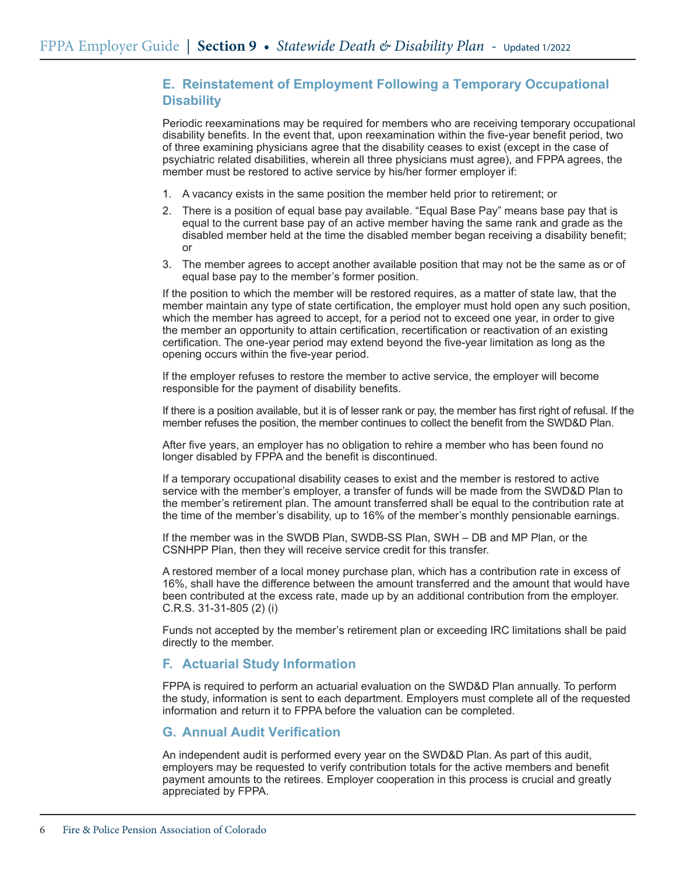# **E. Reinstatement of Employment Following a Temporary Occupational Disability**

Periodic reexaminations may be required for members who are receiving temporary occupational disability benefits. In the event that, upon reexamination within the five-year benefit period, two of three examining physicians agree that the disability ceases to exist (except in the case of psychiatric related disabilities, wherein all three physicians must agree), and FPPA agrees, the member must be restored to active service by his/her former employer if:

- 1. A vacancy exists in the same position the member held prior to retirement; or
- 2. There is a position of equal base pay available. "Equal Base Pay" means base pay that is equal to the current base pay of an active member having the same rank and grade as the disabled member held at the time the disabled member began receiving a disability benefit; or
- 3. The member agrees to accept another available position that may not be the same as or of equal base pay to the member's former position.

If the position to which the member will be restored requires, as a matter of state law, that the member maintain any type of state certification, the employer must hold open any such position, which the member has agreed to accept, for a period not to exceed one year, in order to give the member an opportunity to attain certification, recertification or reactivation of an existing certification. The one-year period may extend beyond the five-year limitation as long as the opening occurs within the five-year period.

If the employer refuses to restore the member to active service, the employer will become responsible for the payment of disability benefits.

If there is a position available, but it is of lesser rank or pay, the member has first right of refusal. If the member refuses the position, the member continues to collect the benefit from the SWD&D Plan.

After five years, an employer has no obligation to rehire a member who has been found no longer disabled by FPPA and the benefit is discontinued.

If a temporary occupational disability ceases to exist and the member is restored to active service with the member's employer, a transfer of funds will be made from the SWD&D Plan to the member's retirement plan. The amount transferred shall be equal to the contribution rate at the time of the member's disability, up to 16% of the member's monthly pensionable earnings.

If the member was in the SWDB Plan, SWDB-SS Plan, SWH – DB and MP Plan, or the CSNHPP Plan, then they will receive service credit for this transfer.

A restored member of a local money purchase plan, which has a contribution rate in excess of 16%, shall have the difference between the amount transferred and the amount that would have been contributed at the excess rate, made up by an additional contribution from the employer. C.R.S. 31-31-805 (2) (i)

Funds not accepted by the member's retirement plan or exceeding IRC limitations shall be paid directly to the member.

# **F. Actuarial Study Information**

FPPA is required to perform an actuarial evaluation on the SWD&D Plan annually. To perform the study, information is sent to each department. Employers must complete all of the requested information and return it to FPPA before the valuation can be completed.

## **G. Annual Audit Verification**

An independent audit is performed every year on the SWD&D Plan. As part of this audit, employers may be requested to verify contribution totals for the active members and benefit payment amounts to the retirees. Employer cooperation in this process is crucial and greatly appreciated by FPPA.